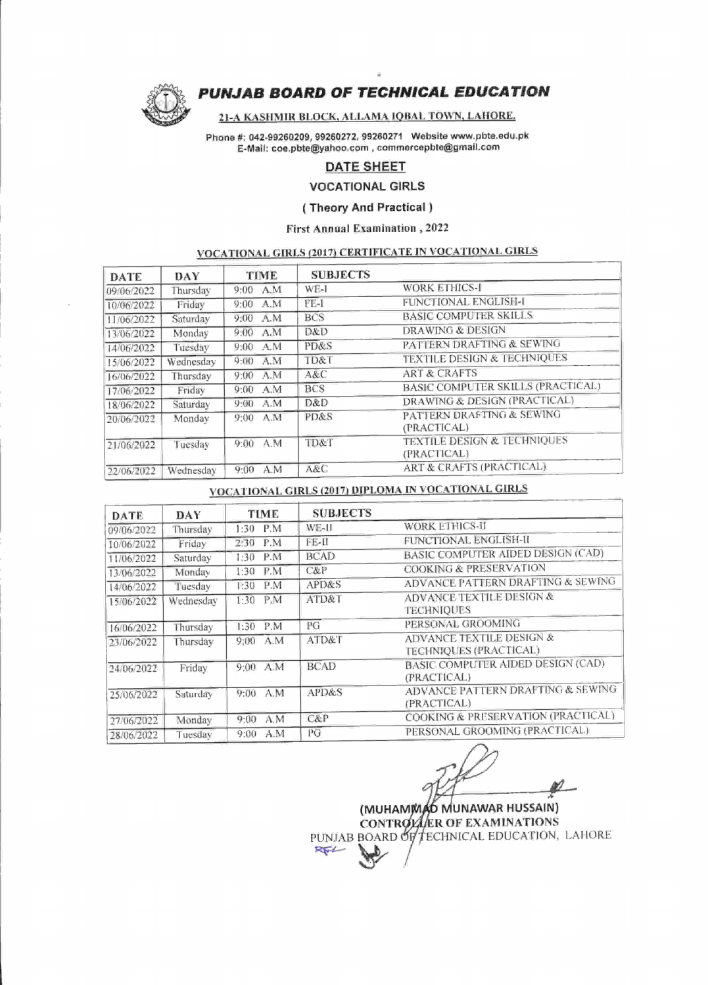

# PUNJAB BOARD OF TECHNICAL EDUCATION

#### 2I-A KASHMIR BLOCK. ALLAMA IOBAL TOWN. LAHORE.

Phone #: 042-99260209, 99260272, 99260271 Website www.pbte.edu.pk E-Mail : coe.pbte@yahoo.com, commercepbte@gmail.com

# DATE SHEET

VOCATIONAL GIRLS

## ( Theory And Practical )

#### First Annual Examination, 2022

# VOCATIONAL GIRLS (2011 CERTIFICATE IN VOCATIONAL GIRLS

| DATE       | DAY       | TIME         | <b>SUBJECTS</b> |                                        |
|------------|-----------|--------------|-----------------|----------------------------------------|
| 09/06/2022 | Thursday  | A.M<br>9:00  | WE-1            | <b>WORK ETHICS-I</b>                   |
| 10/06/2022 | Friday    | 9:00<br>A.M  | $FE-1$          | FUNCTIONAL ENGLISH-I                   |
| 11/06/2022 | Saturday  | 9:00<br>A.M  | <b>BCS</b>      | <b>BASIC COMPUTER SKILLS</b>           |
| 13/06/2022 | Monday    | 9:00.<br>A.M | D&D             | DRAWING & DESIGN                       |
| 14/06/2022 | Tuesday   | A.M<br>9:00  | PD&S            | PATTERN DRAFTING & SEWING              |
| 15/06/2022 | Wednesday | A.M<br>9:00. | TD&T            | <b>TEXTILE DESIGN &amp; TECHNIQUES</b> |
| 16/06/2022 | Thursday  | 9:00. A.M    | A&C             | <b>ART &amp; CRAFTS</b>                |
| 17/06/2022 | Friday    | A.M<br>9:00  | <b>BCS</b>      | BASIC COMPUTER SKILLS (PRACTICAL)      |
| 18/06/2022 | Saturday  | A.M<br>9:00  | D&D             | DRAWING & DESIGN (PRACTICAL)           |
| 20/06/2022 | Monday    | A.M<br>9:00  | PD&S            | PATTERN DRAFTING & SEWING              |
|            |           |              |                 | (PRACTICAL)                            |
| 21/06/2022 | Tuesdav   | A M<br>9:00  | TD&T            | TEXTILE DESIGN & TECHNIQUES            |
|            |           |              |                 | (PRACTICAL)                            |
| 22/06/2022 | Wednesday | A M<br>9:00  | A&C             | ART & CRAFTS (PRACTICAL)               |

# VOCATIONAL GIRLS (2OI7) DIPLOMA IN VOCATIONAL GIRLS

| DATE       | DAY       | TIME        | <b>SUBJECTS</b> |                                                          |
|------------|-----------|-------------|-----------------|----------------------------------------------------------|
| 09/06/2022 | Thursday  | P.M<br>1:30 | WE-II           | WORK ETHICS-II                                           |
| 10/06/2022 | Friday    | P.M<br>2:30 | FE-II           | FUNCTIONAL ENGLISH-II                                    |
| 11/06/2022 | Saturday  | P.M<br>1:30 | <b>BCAD</b>     | BASIC COMPUTER AIDED DESIGN (CAD)                        |
| 13/06/2022 | Monday    | P.M<br>1:30 | C&P             | <b>COOKING &amp; PRESERVATION</b>                        |
| 14/06/2022 | Tuesday   | P.M<br>1:30 | APD&S           | ADVANCE PATTERN DRAFTING & SEWING                        |
| 15/06/2022 | Wednesday | 1:30<br>P.M | ATD&T           | <b>ADVANCE TEXTILE DESIGN &amp;</b><br><b>TECHNIOUES</b> |
| 16/06/2022 | Thursday  | P.M<br>1:30 | PG              | PERSONAL GROOMING                                        |
| 23/06/2022 | Thursday  | $9:00$ A.M  | ATD&T           | ADVANCE TEXTILE DESIGN &<br>TECHNIQUES (PRACTICAL)       |
| 24/06/2022 | Friday    | 9:00 A.M    | <b>BCAD</b>     | <b>BASIC COMPUTER AIDED DESIGN (CAD)</b><br>(PRACTICAL)  |
| 25/06/2022 | Saturday  | A M<br>9:00 | APD&S           | ADVANCE PATTERN DRAFTING & SEWING<br>(PRACTICAL)         |
| 27/06/2022 | Monday    | A.M<br>9:00 | C&P             | COOKING & PRESERVATION (PRACTICAL)                       |
| 28/06/2022 | Tuesday   | A.M<br>9:00 | PG              | PERSONAL GROOMING (PRACTICAL)                            |

(MUHAMMAD MUNAWAR HUSSAIN) CONTROLLER OF EXAMINATIONS RW-1-BOARD OF TECHNICAL EDUCATION, LAHORE  $\mathbb{R}$